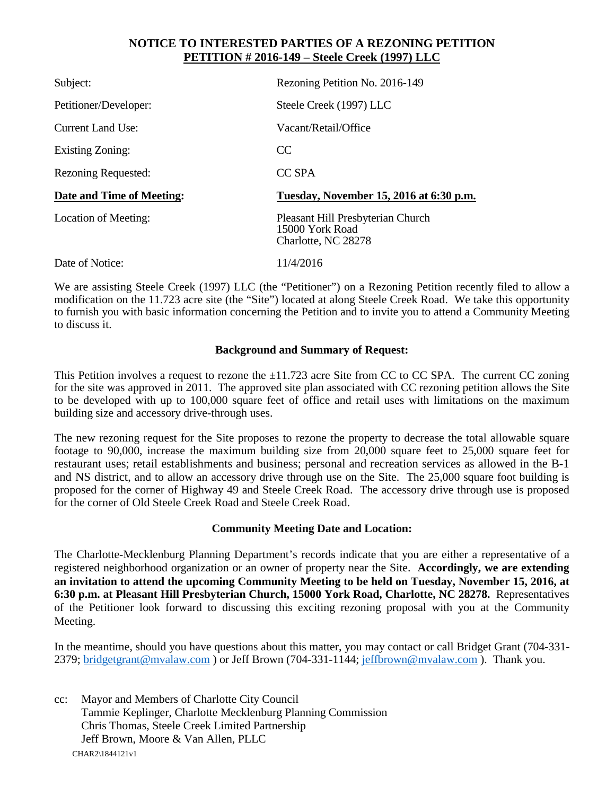## **NOTICE TO INTERESTED PARTIES OF A REZONING PETITION PETITION # 2016-149 – Steele Creek (1997) LLC**

| Subject:                   | Rezoning Petition No. 2016-149                       |
|----------------------------|------------------------------------------------------|
| Petitioner/Developer:      | Steele Creek (1997) LLC                              |
| Current Land Use:          | Vacant/Retail/Office                                 |
| Existing Zoning:           | <sub>CC</sub>                                        |
| <b>Rezoning Requested:</b> | CC SPA                                               |
| Date and Time of Meeting:  | Tuesday, November 15, 2016 at 6:30 p.m.              |
| Location of Meeting:       | Pleasant Hill Presbyterian Church<br>15000 York Road |
|                            | Charlotte, NC 28278                                  |

We are assisting Steele Creek (1997) LLC (the "Petitioner") on a Rezoning Petition recently filed to allow a modification on the 11.723 acre site (the "Site") located at along Steele Creek Road. We take this opportunity to furnish you with basic information concerning the Petition and to invite you to attend a Community Meeting to discuss it.

## **Background and Summary of Request:**

This Petition involves a request to rezone the  $\pm 11.723$  acre Site from CC to CC SPA. The current CC zoning for the site was approved in 2011. The approved site plan associated with CC rezoning petition allows the Site to be developed with up to 100,000 square feet of office and retail uses with limitations on the maximum building size and accessory drive-through uses.

The new rezoning request for the Site proposes to rezone the property to decrease the total allowable square footage to 90,000, increase the maximum building size from 20,000 square feet to 25,000 square feet for restaurant uses; retail establishments and business; personal and recreation services as allowed in the B-1 and NS district, and to allow an accessory drive through use on the Site. The 25,000 square foot building is proposed for the corner of Highway 49 and Steele Creek Road. The accessory drive through use is proposed for the corner of Old Steele Creek Road and Steele Creek Road.

## **Community Meeting Date and Location:**

The Charlotte-Mecklenburg Planning Department's records indicate that you are either a representative of a registered neighborhood organization or an owner of property near the Site. **Accordingly, we are extending an invitation to attend the upcoming Community Meeting to be held on Tuesday, November 15, 2016, at 6:30 p.m. at Pleasant Hill Presbyterian Church, 15000 York Road, Charlotte, NC 28278.** Representatives of the Petitioner look forward to discussing this exciting rezoning proposal with you at the Community Meeting.

In the meantime, should you have questions about this matter, you may contact or call Bridget Grant (704-331- 2379; [bridgetgrant@mvalaw.com](mailto:bridgetgrant@mvalaw.com) ) or Jeff Brown (704-331-1144; [jeffbrown@mvalaw.com](mailto:jeffbrown@mvalaw.com) ). Thank you.

CHAR2\1844121v1 cc: Mayor and Members of Charlotte City Council Tammie Keplinger, Charlotte Mecklenburg Planning Commission Chris Thomas, Steele Creek Limited Partnership Jeff Brown, Moore & Van Allen, PLLC